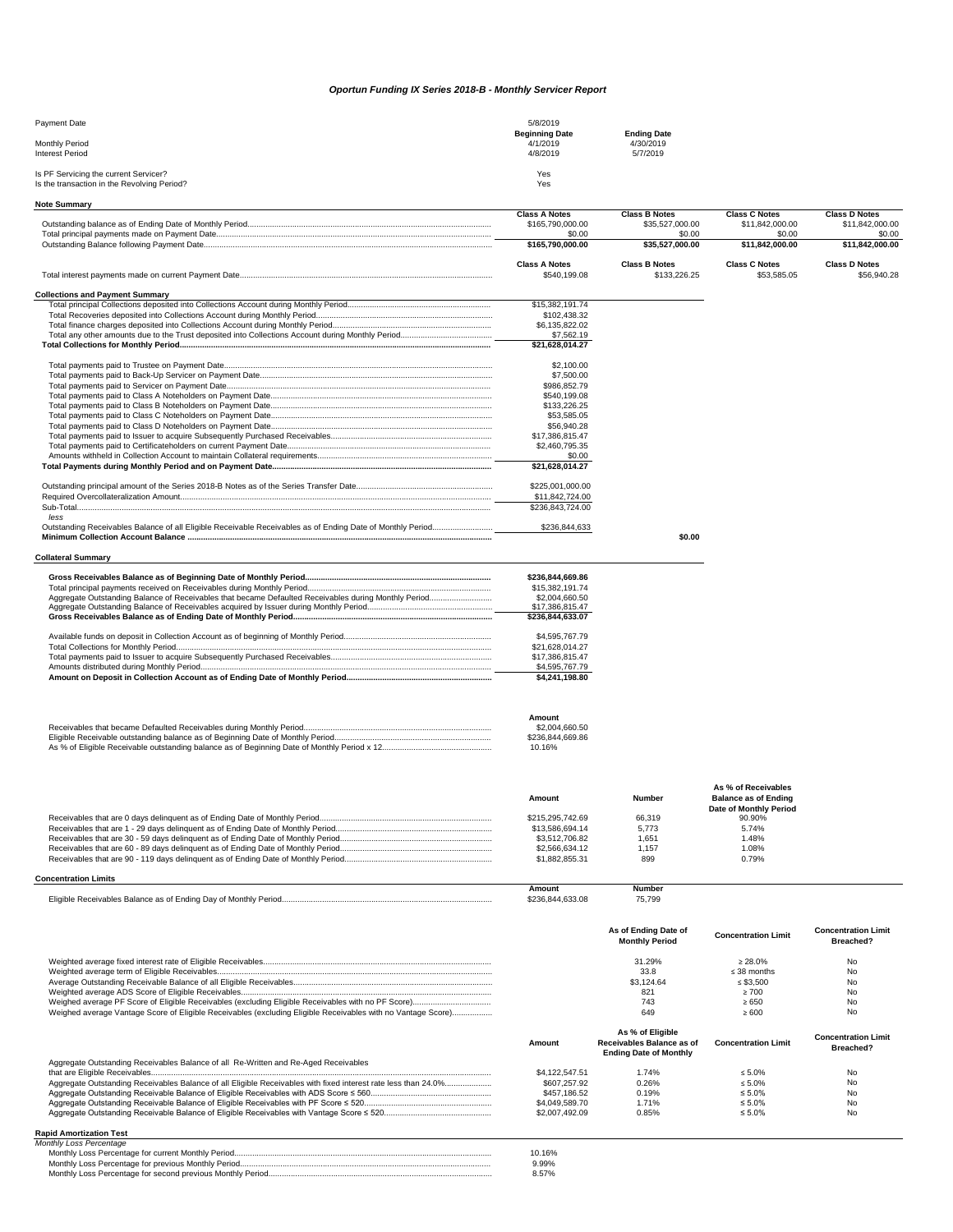| <b>Payment Date</b>                                                                  | 5/8/2019                                      |                                             |  |
|--------------------------------------------------------------------------------------|-----------------------------------------------|---------------------------------------------|--|
| <b>Monthly Period</b><br>Interest Period                                             | <b>Beginning Date</b><br>4/1/2019<br>4/8/2019 | <b>Ending Date</b><br>4/30/2019<br>5/7/2019 |  |
| Is PF Servicing the current Servicer?<br>Is the transaction in the Revolving Period? | <b>Yes</b><br>Yes                             |                                             |  |
|                                                                                      |                                               |                                             |  |

**Note Summary**

|                                                                                                            | <b>Class A Notes</b>       | <b>Class B Notes</b>      | <b>Class C Notes</b>      | <b>Class D Notes</b>      |
|------------------------------------------------------------------------------------------------------------|----------------------------|---------------------------|---------------------------|---------------------------|
|                                                                                                            | \$165,790,000.00<br>\$0.00 | \$35,527,000.00           | \$11,842,000.00<br>\$0.00 | \$11,842,000.00           |
|                                                                                                            | \$165,790,000.00           | \$0.00<br>\$35,527,000.00 | \$11,842,000.00           | \$0.00<br>\$11,842,000.00 |
|                                                                                                            |                            |                           |                           |                           |
|                                                                                                            | <b>Class A Notes</b>       | <b>Class B Notes</b>      | <b>Class C Notes</b>      | <b>Class D Notes</b>      |
|                                                                                                            | \$540,199.08               | \$133,226.25              | \$53,585.05               | \$56,940.28               |
| <b>Collections and Payment Summary</b>                                                                     |                            |                           |                           |                           |
|                                                                                                            | \$15,382,191.74            |                           |                           |                           |
|                                                                                                            | \$102,438.32               |                           |                           |                           |
|                                                                                                            | \$6,135,822.02             |                           |                           |                           |
|                                                                                                            | \$7,562.19                 |                           |                           |                           |
|                                                                                                            | \$21,628,014.27            |                           |                           |                           |
|                                                                                                            | \$2,100.00                 |                           |                           |                           |
|                                                                                                            | \$7,500.00                 |                           |                           |                           |
|                                                                                                            | \$986,852.79               |                           |                           |                           |
|                                                                                                            | \$540,199.08               |                           |                           |                           |
|                                                                                                            | \$133,226.25               |                           |                           |                           |
|                                                                                                            | \$53,585.05                |                           |                           |                           |
|                                                                                                            | \$56,940.28                |                           |                           |                           |
|                                                                                                            | \$17,386,815.47            |                           |                           |                           |
|                                                                                                            | \$2,460,795.35             |                           |                           |                           |
|                                                                                                            | \$0.00                     |                           |                           |                           |
|                                                                                                            | \$21,628,014.27            |                           |                           |                           |
|                                                                                                            | \$225,001,000.00           |                           |                           |                           |
|                                                                                                            | \$11,842,724.00            |                           |                           |                           |
| less                                                                                                       | \$236,843,724.00           |                           |                           |                           |
| Outstanding Receivables Balance of all Eligible Receivable Receivables as of Ending Date of Monthly Period | \$236,844,633              |                           |                           |                           |
|                                                                                                            |                            | \$0.00                    |                           |                           |
|                                                                                                            |                            |                           |                           |                           |
| <b>Collateral Summary</b>                                                                                  |                            |                           |                           |                           |
|                                                                                                            | \$236.844.669.86           |                           |                           |                           |

| \$236,844,669.86 |
|------------------|
| \$15,382,191.74  |
| \$2,004,660,50   |
| \$17,386,815.47  |
| \$236,844,633.07 |
|                  |
| \$4.595.767.79   |
| \$21.628.014.27  |
| \$17,386,815.47  |
| \$4,595,767.79   |
| \$4,241,198.80   |

| Amount           |
|------------------|
| \$2.004.660.50   |
| \$236.844.669.86 |
| 10.16%           |

| Amount           | <b>Number</b> | <b>Balance as of Ending</b>   |  |
|------------------|---------------|-------------------------------|--|
|                  |               | <b>Date of Monthly Period</b> |  |
| \$215.295.742.69 | 66,319        | 90.90%                        |  |
| \$13.586.694.14  | 5.773         | 5.74%                         |  |
| \$3.512.706.82   | 1.651         | l.48%                         |  |
| \$2,566,634,12   | 1.157         | 1.08%                         |  |
| \$1.882.855.31   | 899           | 0.79%                         |  |

## **Concentration Limits**

|                                                                                | Amount             | Numbeı               |
|--------------------------------------------------------------------------------|--------------------|----------------------|
| Eligible<br>i Ending Dav of Monthly Period.<br>Rece<br>ਾਅables Balance as of ∟ | <sub>ີ</sub> 33.08 | $-700$<br>. .<br>$-$ |

|                                                                                                              | As of Ending Date of<br><b>Monthly Period</b> | <b>Concentration Limit</b> | <b>Concentration Limit</b><br>Breached? |
|--------------------------------------------------------------------------------------------------------------|-----------------------------------------------|----------------------------|-----------------------------------------|
|                                                                                                              | 31.29%                                        | $\geq 28.0\%$              | No                                      |
|                                                                                                              | 33.8                                          | $\leq$ 38 months           | No                                      |
|                                                                                                              | \$3.124.64                                    | ≤ \$3.500                  | No                                      |
|                                                                                                              | 821                                           | $\geq 700$                 | No                                      |
|                                                                                                              | 743                                           | $\ge 650$                  | No                                      |
| Weighed average Vantage Score of Eligible Receivables (excluding Eligible Receivables with no Vantage Score) | 649                                           | $\geq 600$                 | No                                      |

| Aggregate Outstanding Receivables Balance of all Re-Written and Re-Aged Receivables                            | Amount         | As % of Eligible<br>Receivables Balance as of<br><b>Ending Date of Monthly</b> | <b>Concentration Limit</b> | <b>Concentration Limit</b><br><b>Breached?</b> |
|----------------------------------------------------------------------------------------------------------------|----------------|--------------------------------------------------------------------------------|----------------------------|------------------------------------------------|
|                                                                                                                | \$4.122.547.51 | 1.74%                                                                          | $\leq 5.0\%$               | No                                             |
| Aggregate Outstanding Receivables Balance of all Eligible Receivables with fixed interest rate less than 24.0% | \$607.257.92   | 0.26%                                                                          | $\leq 5.0\%$               | No                                             |
|                                                                                                                | \$457.186.52   | 0.19%                                                                          | $\leq 5.0\%$               | No                                             |
|                                                                                                                | \$4.049.589.70 | 1.71%                                                                          | $\leq 5.0\%$               | No.                                            |
|                                                                                                                | \$2.007.492.09 | 0.85%                                                                          | ≤ 5.0%                     | No                                             |
|                                                                                                                |                |                                                                                |                            |                                                |

## **Rapid Amortization Test**

| 10.16% |
|--------|
|        |
| 9.99%  |
| 8.57%  |

## *Oportun Funding IX Series 2018-B - Monthly Servicer Report*